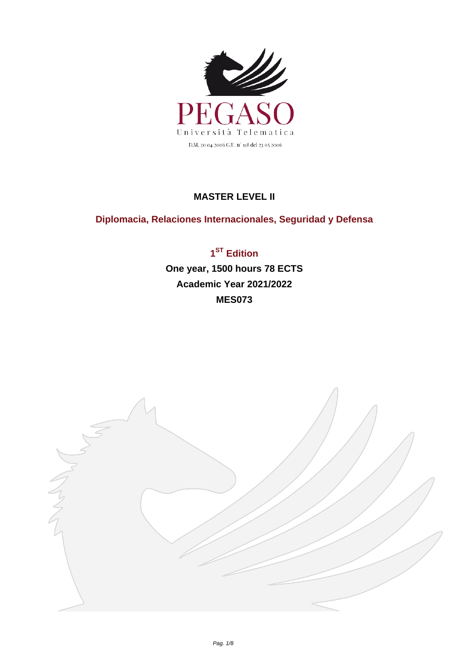

## **MASTER LEVEL II**

## **Diplomacia, Relaciones Internacionales, Seguridad y Defensa**

**1 ST Edition One year, 1500 hours 78 ECTS Academic Year 2021/2022 MES073**

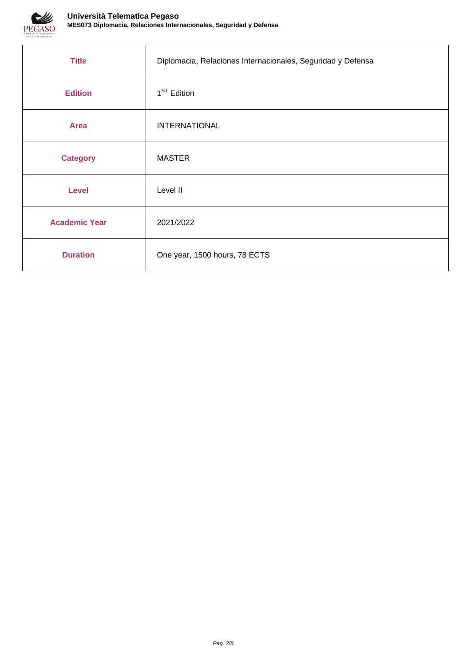

| <b>Title</b>         | Diplomacia, Relaciones Internacionales, Seguridad y Defensa |
|----------------------|-------------------------------------------------------------|
| <b>Edition</b>       | 1 <sup>ST</sup> Edition                                     |
| <b>Area</b>          | <b>INTERNATIONAL</b>                                        |
| <b>Category</b>      | <b>MASTER</b>                                               |
| <b>Level</b>         | Level II                                                    |
| <b>Academic Year</b> | 2021/2022                                                   |
| <b>Duration</b>      | One year, 1500 hours, 78 ECTS                               |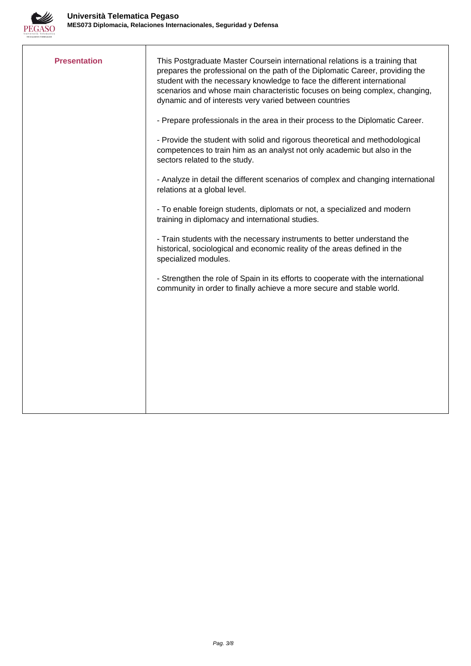

| <b>Presentation</b> | This Postgraduate Master Coursein international relations is a training that<br>prepares the professional on the path of the Diplomatic Career, providing the<br>student with the necessary knowledge to face the different international<br>scenarios and whose main characteristic focuses on being complex, changing,<br>dynamic and of interests very varied between countries<br>- Prepare professionals in the area in their process to the Diplomatic Career.<br>- Provide the student with solid and rigorous theoretical and methodological<br>competences to train him as an analyst not only academic but also in the<br>sectors related to the study.<br>- Analyze in detail the different scenarios of complex and changing international<br>relations at a global level. |
|---------------------|----------------------------------------------------------------------------------------------------------------------------------------------------------------------------------------------------------------------------------------------------------------------------------------------------------------------------------------------------------------------------------------------------------------------------------------------------------------------------------------------------------------------------------------------------------------------------------------------------------------------------------------------------------------------------------------------------------------------------------------------------------------------------------------|
|                     | - To enable foreign students, diplomats or not, a specialized and modern<br>training in diplomacy and international studies.                                                                                                                                                                                                                                                                                                                                                                                                                                                                                                                                                                                                                                                           |
|                     | - Train students with the necessary instruments to better understand the<br>historical, sociological and economic reality of the areas defined in the<br>specialized modules.                                                                                                                                                                                                                                                                                                                                                                                                                                                                                                                                                                                                          |
|                     | - Strengthen the role of Spain in its efforts to cooperate with the international<br>community in order to finally achieve a more secure and stable world.                                                                                                                                                                                                                                                                                                                                                                                                                                                                                                                                                                                                                             |
|                     |                                                                                                                                                                                                                                                                                                                                                                                                                                                                                                                                                                                                                                                                                                                                                                                        |
|                     |                                                                                                                                                                                                                                                                                                                                                                                                                                                                                                                                                                                                                                                                                                                                                                                        |
|                     |                                                                                                                                                                                                                                                                                                                                                                                                                                                                                                                                                                                                                                                                                                                                                                                        |
|                     |                                                                                                                                                                                                                                                                                                                                                                                                                                                                                                                                                                                                                                                                                                                                                                                        |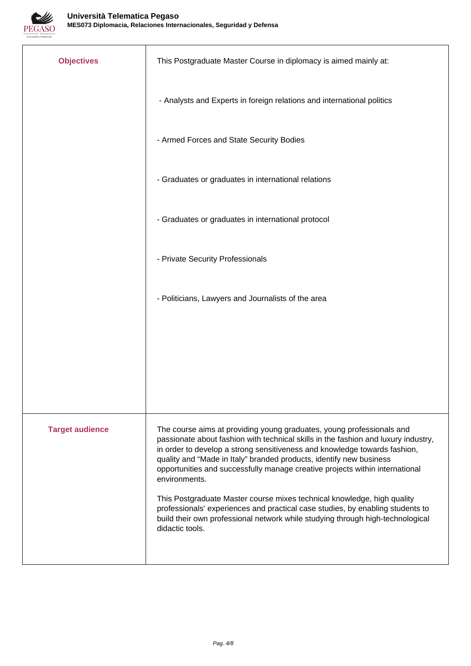

| <b>Objectives</b>      | This Postgraduate Master Course in diplomacy is aimed mainly at:                                                                                                                                                                                                                                                                                                                                                 |  |
|------------------------|------------------------------------------------------------------------------------------------------------------------------------------------------------------------------------------------------------------------------------------------------------------------------------------------------------------------------------------------------------------------------------------------------------------|--|
|                        | - Analysts and Experts in foreign relations and international politics                                                                                                                                                                                                                                                                                                                                           |  |
|                        | - Armed Forces and State Security Bodies                                                                                                                                                                                                                                                                                                                                                                         |  |
|                        | - Graduates or graduates in international relations                                                                                                                                                                                                                                                                                                                                                              |  |
|                        | - Graduates or graduates in international protocol                                                                                                                                                                                                                                                                                                                                                               |  |
|                        | - Private Security Professionals                                                                                                                                                                                                                                                                                                                                                                                 |  |
|                        | - Politicians, Lawyers and Journalists of the area                                                                                                                                                                                                                                                                                                                                                               |  |
|                        |                                                                                                                                                                                                                                                                                                                                                                                                                  |  |
|                        |                                                                                                                                                                                                                                                                                                                                                                                                                  |  |
|                        |                                                                                                                                                                                                                                                                                                                                                                                                                  |  |
| <b>Target audience</b> | The course aims at providing young graduates, young professionals and<br>passionate about fashion with technical skills in the fashion and luxury industry,<br>in order to develop a strong sensitiveness and knowledge towards fashion,<br>quality and "Made in Italy" branded products, identify new business<br>opportunities and successfully manage creative projects within international<br>environments. |  |
|                        | This Postgraduate Master course mixes technical knowledge, high quality<br>professionals' experiences and practical case studies, by enabling students to<br>build their own professional network while studying through high-technological<br>didactic tools.                                                                                                                                                   |  |
|                        |                                                                                                                                                                                                                                                                                                                                                                                                                  |  |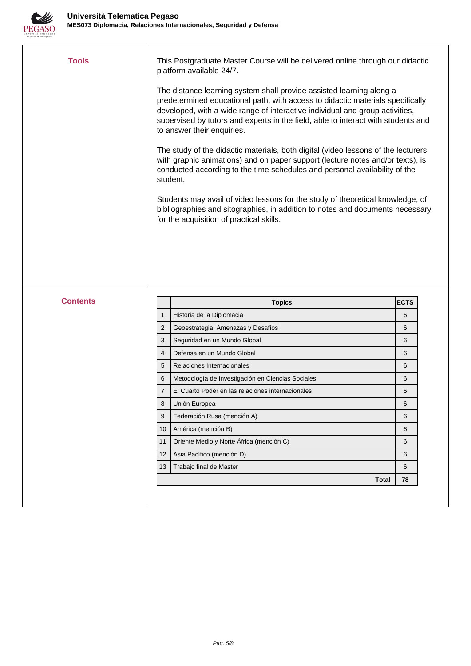

| <b>Tools</b>    |                | This Postgraduate Master Course will be delivered online through our didactic<br>platform available 24/7.<br>The distance learning system shall provide assisted learning along a<br>predetermined educational path, with access to didactic materials specifically<br>developed, with a wide range of interactive individual and group activities,<br>supervised by tutors and experts in the field, able to interact with students and<br>to answer their enquiries.<br>The study of the didactic materials, both digital (video lessons of the lecturers<br>with graphic animations) and on paper support (lecture notes and/or texts), is<br>conducted according to the time schedules and personal availability of the<br>student.<br>Students may avail of video lessons for the study of theoretical knowledge, of<br>bibliographies and sitographies, in addition to notes and documents necessary<br>for the acquisition of practical skills. |             |
|-----------------|----------------|--------------------------------------------------------------------------------------------------------------------------------------------------------------------------------------------------------------------------------------------------------------------------------------------------------------------------------------------------------------------------------------------------------------------------------------------------------------------------------------------------------------------------------------------------------------------------------------------------------------------------------------------------------------------------------------------------------------------------------------------------------------------------------------------------------------------------------------------------------------------------------------------------------------------------------------------------------|-------------|
|                 |                |                                                                                                                                                                                                                                                                                                                                                                                                                                                                                                                                                                                                                                                                                                                                                                                                                                                                                                                                                        |             |
| <b>Contents</b> |                | <b>Topics</b>                                                                                                                                                                                                                                                                                                                                                                                                                                                                                                                                                                                                                                                                                                                                                                                                                                                                                                                                          | <b>ECTS</b> |
|                 | $\mathbf{1}$   | Historia de la Diplomacia                                                                                                                                                                                                                                                                                                                                                                                                                                                                                                                                                                                                                                                                                                                                                                                                                                                                                                                              | 6           |
|                 | $\overline{2}$ | Geoestrategia: Amenazas y Desafíos                                                                                                                                                                                                                                                                                                                                                                                                                                                                                                                                                                                                                                                                                                                                                                                                                                                                                                                     | 6           |
|                 | 3              | Seguridad en un Mundo Global                                                                                                                                                                                                                                                                                                                                                                                                                                                                                                                                                                                                                                                                                                                                                                                                                                                                                                                           | 6           |
|                 | $\overline{4}$ | Defensa en un Mundo Global                                                                                                                                                                                                                                                                                                                                                                                                                                                                                                                                                                                                                                                                                                                                                                                                                                                                                                                             | 6           |
|                 | 5              | Relaciones Internacionales                                                                                                                                                                                                                                                                                                                                                                                                                                                                                                                                                                                                                                                                                                                                                                                                                                                                                                                             | 6           |
|                 | 6              | Metodología de Investigación en Ciencias Sociales                                                                                                                                                                                                                                                                                                                                                                                                                                                                                                                                                                                                                                                                                                                                                                                                                                                                                                      | 6           |
|                 | 7              | El Cuarto Poder en las relaciones internacionales                                                                                                                                                                                                                                                                                                                                                                                                                                                                                                                                                                                                                                                                                                                                                                                                                                                                                                      | 6           |
|                 | 8              | Unión Europea                                                                                                                                                                                                                                                                                                                                                                                                                                                                                                                                                                                                                                                                                                                                                                                                                                                                                                                                          | 6           |
|                 | 9              | Federación Rusa (mención A)                                                                                                                                                                                                                                                                                                                                                                                                                                                                                                                                                                                                                                                                                                                                                                                                                                                                                                                            | 6           |
|                 | 10             | América (mención B)                                                                                                                                                                                                                                                                                                                                                                                                                                                                                                                                                                                                                                                                                                                                                                                                                                                                                                                                    | 6           |
|                 | 11             | Oriente Medio y Norte África (mención C)                                                                                                                                                                                                                                                                                                                                                                                                                                                                                                                                                                                                                                                                                                                                                                                                                                                                                                               | 6           |
|                 | 12             | Asia Pacífico (mención D)                                                                                                                                                                                                                                                                                                                                                                                                                                                                                                                                                                                                                                                                                                                                                                                                                                                                                                                              | 6           |
|                 | 13             | Trabajo final de Master                                                                                                                                                                                                                                                                                                                                                                                                                                                                                                                                                                                                                                                                                                                                                                                                                                                                                                                                | 6           |
|                 |                | <b>Total</b>                                                                                                                                                                                                                                                                                                                                                                                                                                                                                                                                                                                                                                                                                                                                                                                                                                                                                                                                           | 78          |
|                 |                |                                                                                                                                                                                                                                                                                                                                                                                                                                                                                                                                                                                                                                                                                                                                                                                                                                                                                                                                                        |             |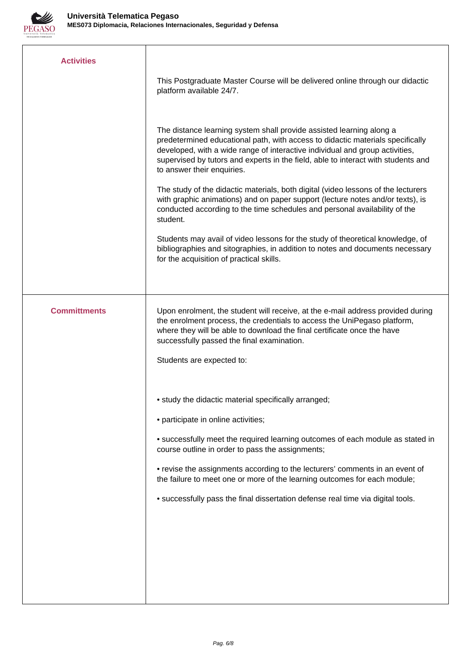

| <b>Activities</b>   |                                                                                                                                                                                                                                                                                                                                                           |
|---------------------|-----------------------------------------------------------------------------------------------------------------------------------------------------------------------------------------------------------------------------------------------------------------------------------------------------------------------------------------------------------|
|                     | This Postgraduate Master Course will be delivered online through our didactic<br>platform available 24/7.                                                                                                                                                                                                                                                 |
|                     | The distance learning system shall provide assisted learning along a<br>predetermined educational path, with access to didactic materials specifically<br>developed, with a wide range of interactive individual and group activities,<br>supervised by tutors and experts in the field, able to interact with students and<br>to answer their enquiries. |
|                     | The study of the didactic materials, both digital (video lessons of the lecturers<br>with graphic animations) and on paper support (lecture notes and/or texts), is<br>conducted according to the time schedules and personal availability of the<br>student.                                                                                             |
|                     | Students may avail of video lessons for the study of theoretical knowledge, of<br>bibliographies and sitographies, in addition to notes and documents necessary<br>for the acquisition of practical skills.                                                                                                                                               |
|                     |                                                                                                                                                                                                                                                                                                                                                           |
| <b>Committments</b> | Upon enrolment, the student will receive, at the e-mail address provided during<br>the enrolment process, the credentials to access the UniPegaso platform,<br>where they will be able to download the final certificate once the have<br>successfully passed the final examination.                                                                      |
|                     | Students are expected to:                                                                                                                                                                                                                                                                                                                                 |
|                     | • study the didactic material specifically arranged;                                                                                                                                                                                                                                                                                                      |
|                     | • participate in online activities;                                                                                                                                                                                                                                                                                                                       |
|                     | • successfully meet the required learning outcomes of each module as stated in<br>course outline in order to pass the assignments;                                                                                                                                                                                                                        |
|                     | • revise the assignments according to the lecturers' comments in an event of<br>the failure to meet one or more of the learning outcomes for each module;                                                                                                                                                                                                 |
|                     | • successfully pass the final dissertation defense real time via digital tools.                                                                                                                                                                                                                                                                           |
|                     |                                                                                                                                                                                                                                                                                                                                                           |
|                     |                                                                                                                                                                                                                                                                                                                                                           |
|                     |                                                                                                                                                                                                                                                                                                                                                           |
|                     |                                                                                                                                                                                                                                                                                                                                                           |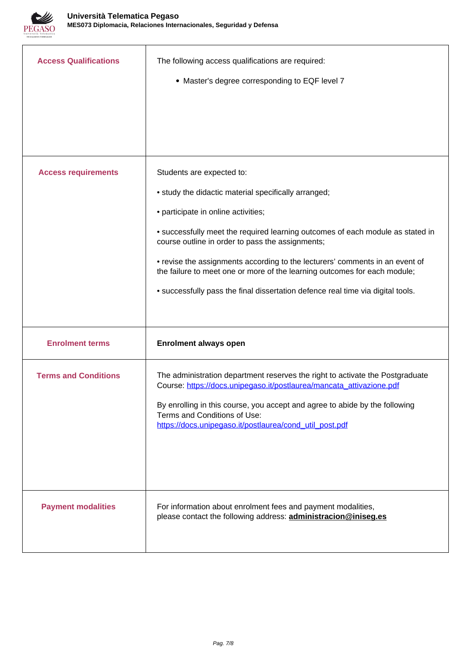

| <b>Access Qualifications</b> | The following access qualifications are required:<br>• Master's degree corresponding to EQF level 7                                                                                                                                                                                                                                                                                                                                                                                                            |
|------------------------------|----------------------------------------------------------------------------------------------------------------------------------------------------------------------------------------------------------------------------------------------------------------------------------------------------------------------------------------------------------------------------------------------------------------------------------------------------------------------------------------------------------------|
| <b>Access requirements</b>   | Students are expected to:<br>• study the didactic material specifically arranged;<br>• participate in online activities;<br>• successfully meet the required learning outcomes of each module as stated in<br>course outline in order to pass the assignments;<br>• revise the assignments according to the lecturers' comments in an event of<br>the failure to meet one or more of the learning outcomes for each module;<br>• successfully pass the final dissertation defence real time via digital tools. |
| <b>Enrolment terms</b>       | <b>Enrolment always open</b>                                                                                                                                                                                                                                                                                                                                                                                                                                                                                   |
| <b>Terms and Conditions</b>  | The administration department reserves the right to activate the Postgraduate<br>Course: https://docs.unipegaso.it/postlaurea/mancata_attivazione.pdf<br>By enrolling in this course, you accept and agree to abide by the following<br>Terms and Conditions of Use:<br>https://docs.unipegaso.it/postlaurea/cond_util_post.pdf                                                                                                                                                                                |
| <b>Payment modalities</b>    | For information about enrolment fees and payment modalities,<br>please contact the following address: <b>administracion@iniseg.es</b>                                                                                                                                                                                                                                                                                                                                                                          |